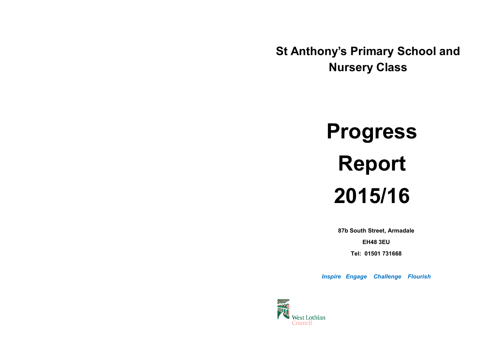**St Anthony's Primary School and Nursery Class**

# **Progress Report 2015/16**

**87b South Street, Armadale** 

**EH48 3EU**

**Tel: 01501 731668**

*Inspire Engage Challenge Flourish* 

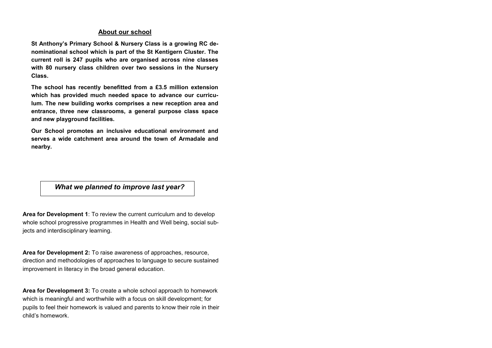### **About our school**

**St Anthony's Primary School & Nursery Class is a growing RC denominational school which is part of the St Kentigern Cluster. The current roll is 247 pupils who are organised across nine classes with 80 nursery class children over two sessions in the Nursery Class.** 

**The school has recently benefitted from a £3.5 million extension which has provided much needed space to advance our curriculum. The new building works comprises a new reception area and entrance, three new classrooms, a general purpose class space and new playground facilities.** 

**Our School promotes an inclusive educational environment and serves a wide catchment area around the town of Armadale and nearby.**

*What we planned to improve last year?*

**Area for Development 1**: To review the current curriculum and to develop whole school progressive programmes in Health and Well being, social subjects and interdisciplinary learning.

**Area for Development 2:** To raise awareness of approaches, resource, direction and methodologies of approaches to language to secure sustained improvement in literacy in the broad general education.

**Area for Development 3:** To create a whole school approach to homework which is meaningful and worthwhile with a focus on skill development; for pupils to feel their homework is valued and parents to know their role in their child's homework.